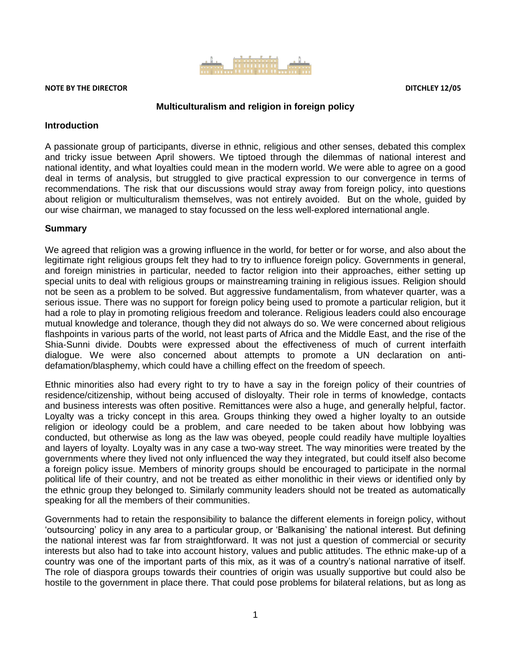

#### **NOTE BY THE DIRECTOR DITCHLEY 12/05**

#### **Multiculturalism and religion in foreign policy**

#### **Introduction**

A passionate group of participants, diverse in ethnic, religious and other senses, debated this complex and tricky issue between April showers. We tiptoed through the dilemmas of national interest and national identity, and what loyalties could mean in the modern world. We were able to agree on a good deal in terms of analysis, but struggled to give practical expression to our convergence in terms of recommendations. The risk that our discussions would stray away from foreign policy, into questions about religion or multiculturalism themselves, was not entirely avoided. But on the whole, guided by our wise chairman, we managed to stay focussed on the less well-explored international angle.

#### **Summary**

We agreed that religion was a growing influence in the world, for better or for worse, and also about the legitimate right religious groups felt they had to try to influence foreign policy. Governments in general, and foreign ministries in particular, needed to factor religion into their approaches, either setting up special units to deal with religious groups or mainstreaming training in religious issues. Religion should not be seen as a problem to be solved. But aggressive fundamentalism, from whatever quarter, was a serious issue. There was no support for foreign policy being used to promote a particular religion, but it had a role to play in promoting religious freedom and tolerance. Religious leaders could also encourage mutual knowledge and tolerance, though they did not always do so. We were concerned about religious flashpoints in various parts of the world, not least parts of Africa and the Middle East, and the rise of the Shia-Sunni divide. Doubts were expressed about the effectiveness of much of current interfaith dialogue. We were also concerned about attempts to promote a UN declaration on antidefamation/blasphemy, which could have a chilling effect on the freedom of speech.

Ethnic minorities also had every right to try to have a say in the foreign policy of their countries of residence/citizenship, without being accused of disloyalty. Their role in terms of knowledge, contacts and business interests was often positive. Remittances were also a huge, and generally helpful, factor. Loyalty was a tricky concept in this area. Groups thinking they owed a higher loyalty to an outside religion or ideology could be a problem, and care needed to be taken about how lobbying was conducted, but otherwise as long as the law was obeyed, people could readily have multiple loyalties and layers of loyalty. Loyalty was in any case a two-way street. The way minorities were treated by the governments where they lived not only influenced the way they integrated, but could itself also become a foreign policy issue. Members of minority groups should be encouraged to participate in the normal political life of their country, and not be treated as either monolithic in their views or identified only by the ethnic group they belonged to. Similarly community leaders should not be treated as automatically speaking for all the members of their communities.

Governments had to retain the responsibility to balance the different elements in foreign policy, without 'outsourcing' policy in any area to a particular group, or 'Balkanising' the national interest. But defining the national interest was far from straightforward. It was not just a question of commercial or security interests but also had to take into account history, values and public attitudes. The ethnic make-up of a country was one of the important parts of this mix, as it was of a country's national narrative of itself. The role of diaspora groups towards their countries of origin was usually supportive but could also be hostile to the government in place there. That could pose problems for bilateral relations, but as long as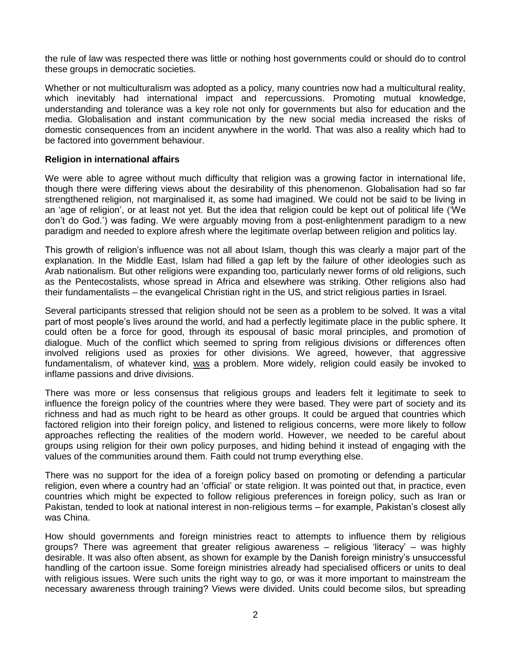the rule of law was respected there was little or nothing host governments could or should do to control these groups in democratic societies.

Whether or not multiculturalism was adopted as a policy, many countries now had a multicultural reality, which inevitably had international impact and repercussions. Promoting mutual knowledge, understanding and tolerance was a key role not only for governments but also for education and the media. Globalisation and instant communication by the new social media increased the risks of domestic consequences from an incident anywhere in the world. That was also a reality which had to be factored into government behaviour.

#### **Religion in international affairs**

We were able to agree without much difficulty that religion was a growing factor in international life, though there were differing views about the desirability of this phenomenon. Globalisation had so far strengthened religion, not marginalised it, as some had imagined. We could not be said to be living in an 'age of religion', or at least not yet. But the idea that religion could be kept out of political life ('We don't do God.') was fading. We were arguably moving from a post-enlightenment paradigm to a new paradigm and needed to explore afresh where the legitimate overlap between religion and politics lay.

This growth of religion's influence was not all about Islam, though this was clearly a major part of the explanation. In the Middle East, Islam had filled a gap left by the failure of other ideologies such as Arab nationalism. But other religions were expanding too, particularly newer forms of old religions, such as the Pentecostalists, whose spread in Africa and elsewhere was striking. Other religions also had their fundamentalists – the evangelical Christian right in the US, and strict religious parties in Israel.

Several participants stressed that religion should not be seen as a problem to be solved. It was a vital part of most people's lives around the world, and had a perfectly legitimate place in the public sphere. It could often be a force for good, through its espousal of basic moral principles, and promotion of dialogue. Much of the conflict which seemed to spring from religious divisions or differences often involved religions used as proxies for other divisions. We agreed, however, that aggressive fundamentalism, of whatever kind, was a problem. More widely, religion could easily be invoked to inflame passions and drive divisions.

There was more or less consensus that religious groups and leaders felt it legitimate to seek to influence the foreign policy of the countries where they were based. They were part of society and its richness and had as much right to be heard as other groups. It could be argued that countries which factored religion into their foreign policy, and listened to religious concerns, were more likely to follow approaches reflecting the realities of the modern world. However, we needed to be careful about groups using religion for their own policy purposes, and hiding behind it instead of engaging with the values of the communities around them. Faith could not trump everything else.

There was no support for the idea of a foreign policy based on promoting or defending a particular religion, even where a country had an 'official' or state religion. It was pointed out that, in practice, even countries which might be expected to follow religious preferences in foreign policy, such as Iran or Pakistan, tended to look at national interest in non-religious terms – for example, Pakistan's closest ally was China.

How should governments and foreign ministries react to attempts to influence them by religious groups? There was agreement that greater religious awareness – religious 'literacy' – was highly desirable. It was also often absent, as shown for example by the Danish foreign ministry's unsuccessful handling of the cartoon issue. Some foreign ministries already had specialised officers or units to deal with religious issues. Were such units the right way to go, or was it more important to mainstream the necessary awareness through training? Views were divided. Units could become silos, but spreading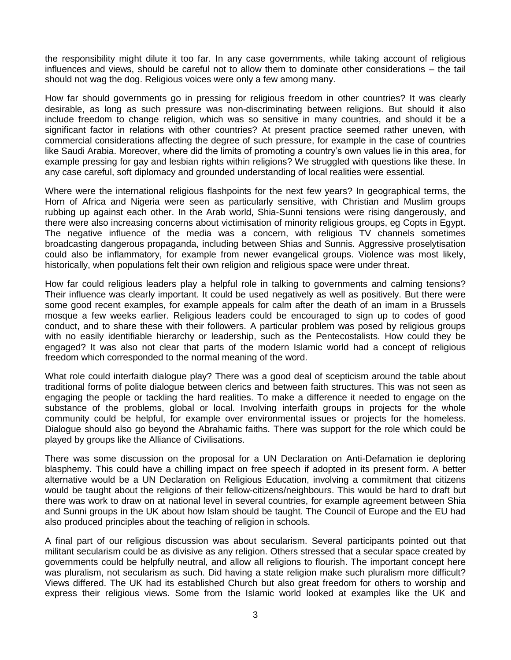the responsibility might dilute it too far. In any case governments, while taking account of religious influences and views, should be careful not to allow them to dominate other considerations – the tail should not wag the dog. Religious voices were only a few among many.

How far should governments go in pressing for religious freedom in other countries? It was clearly desirable, as long as such pressure was non-discriminating between religions. But should it also include freedom to change religion, which was so sensitive in many countries, and should it be a significant factor in relations with other countries? At present practice seemed rather uneven, with commercial considerations affecting the degree of such pressure, for example in the case of countries like Saudi Arabia. Moreover, where did the limits of promoting a country's own values lie in this area, for example pressing for gay and lesbian rights within religions? We struggled with questions like these. In any case careful, soft diplomacy and grounded understanding of local realities were essential.

Where were the international religious flashpoints for the next few years? In geographical terms, the Horn of Africa and Nigeria were seen as particularly sensitive, with Christian and Muslim groups rubbing up against each other. In the Arab world, Shia-Sunni tensions were rising dangerously, and there were also increasing concerns about victimisation of minority religious groups, eg Copts in Egypt. The negative influence of the media was a concern, with religious TV channels sometimes broadcasting dangerous propaganda, including between Shias and Sunnis. Aggressive proselytisation could also be inflammatory, for example from newer evangelical groups. Violence was most likely, historically, when populations felt their own religion and religious space were under threat.

How far could religious leaders play a helpful role in talking to governments and calming tensions? Their influence was clearly important. It could be used negatively as well as positively. But there were some good recent examples, for example appeals for calm after the death of an imam in a Brussels mosque a few weeks earlier. Religious leaders could be encouraged to sign up to codes of good conduct, and to share these with their followers. A particular problem was posed by religious groups with no easily identifiable hierarchy or leadership, such as the Pentecostalists. How could they be engaged? It was also not clear that parts of the modern Islamic world had a concept of religious freedom which corresponded to the normal meaning of the word.

What role could interfaith dialogue play? There was a good deal of scepticism around the table about traditional forms of polite dialogue between clerics and between faith structures. This was not seen as engaging the people or tackling the hard realities. To make a difference it needed to engage on the substance of the problems, global or local. Involving interfaith groups in projects for the whole community could be helpful, for example over environmental issues or projects for the homeless. Dialogue should also go beyond the Abrahamic faiths. There was support for the role which could be played by groups like the Alliance of Civilisations.

There was some discussion on the proposal for a UN Declaration on Anti-Defamation ie deploring blasphemy. This could have a chilling impact on free speech if adopted in its present form. A better alternative would be a UN Declaration on Religious Education, involving a commitment that citizens would be taught about the religions of their fellow-citizens/neighbours. This would be hard to draft but there was work to draw on at national level in several countries, for example agreement between Shia and Sunni groups in the UK about how Islam should be taught. The Council of Europe and the EU had also produced principles about the teaching of religion in schools.

A final part of our religious discussion was about secularism. Several participants pointed out that militant secularism could be as divisive as any religion. Others stressed that a secular space created by governments could be helpfully neutral, and allow all religions to flourish. The important concept here was pluralism, not secularism as such. Did having a state religion make such pluralism more difficult? Views differed. The UK had its established Church but also great freedom for others to worship and express their religious views. Some from the Islamic world looked at examples like the UK and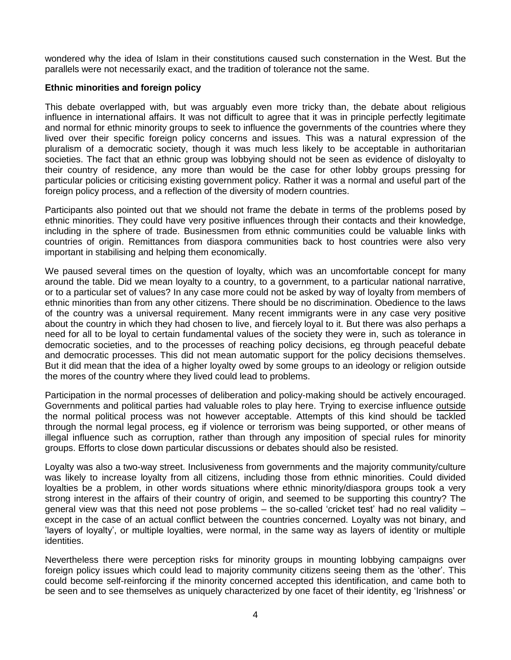wondered why the idea of Islam in their constitutions caused such consternation in the West. But the parallels were not necessarily exact, and the tradition of tolerance not the same.

#### **Ethnic minorities and foreign policy**

This debate overlapped with, but was arguably even more tricky than, the debate about religious influence in international affairs. It was not difficult to agree that it was in principle perfectly legitimate and normal for ethnic minority groups to seek to influence the governments of the countries where they lived over their specific foreign policy concerns and issues. This was a natural expression of the pluralism of a democratic society, though it was much less likely to be acceptable in authoritarian societies. The fact that an ethnic group was lobbying should not be seen as evidence of disloyalty to their country of residence, any more than would be the case for other lobby groups pressing for particular policies or criticising existing government policy. Rather it was a normal and useful part of the foreign policy process, and a reflection of the diversity of modern countries.

Participants also pointed out that we should not frame the debate in terms of the problems posed by ethnic minorities. They could have very positive influences through their contacts and their knowledge, including in the sphere of trade. Businessmen from ethnic communities could be valuable links with countries of origin. Remittances from diaspora communities back to host countries were also very important in stabilising and helping them economically.

We paused several times on the question of loyalty, which was an uncomfortable concept for many around the table. Did we mean loyalty to a country, to a government, to a particular national narrative, or to a particular set of values? In any case more could not be asked by way of loyalty from members of ethnic minorities than from any other citizens. There should be no discrimination. Obedience to the laws of the country was a universal requirement. Many recent immigrants were in any case very positive about the country in which they had chosen to live, and fiercely loyal to it. But there was also perhaps a need for all to be loyal to certain fundamental values of the society they were in, such as tolerance in democratic societies, and to the processes of reaching policy decisions, eg through peaceful debate and democratic processes. This did not mean automatic support for the policy decisions themselves. But it did mean that the idea of a higher loyalty owed by some groups to an ideology or religion outside the mores of the country where they lived could lead to problems.

Participation in the normal processes of deliberation and policy-making should be actively encouraged. Governments and political parties had valuable roles to play here. Trying to exercise influence outside the normal political process was not however acceptable. Attempts of this kind should be tackled through the normal legal process, eg if violence or terrorism was being supported, or other means of illegal influence such as corruption, rather than through any imposition of special rules for minority groups. Efforts to close down particular discussions or debates should also be resisted.

Loyalty was also a two-way street. Inclusiveness from governments and the majority community/culture was likely to increase loyalty from all citizens, including those from ethnic minorities. Could divided loyalties be a problem, in other words situations where ethnic minority/diaspora groups took a very strong interest in the affairs of their country of origin, and seemed to be supporting this country? The general view was that this need not pose problems – the so-called 'cricket test' had no real validity – except in the case of an actual conflict between the countries concerned. Loyalty was not binary, and 'layers of loyalty', or multiple loyalties, were normal, in the same way as layers of identity or multiple identities.

Nevertheless there were perception risks for minority groups in mounting lobbying campaigns over foreign policy issues which could lead to majority community citizens seeing them as the 'other'. This could become self-reinforcing if the minority concerned accepted this identification, and came both to be seen and to see themselves as uniquely characterized by one facet of their identity, eg 'Irishness' or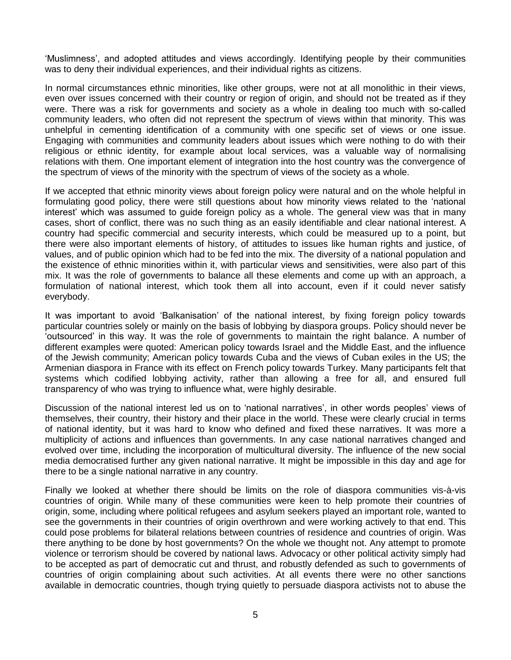'Muslimness', and adopted attitudes and views accordingly. Identifying people by their communities was to deny their individual experiences, and their individual rights as citizens.

In normal circumstances ethnic minorities, like other groups, were not at all monolithic in their views, even over issues concerned with their country or region of origin, and should not be treated as if they were. There was a risk for governments and society as a whole in dealing too much with so-called community leaders, who often did not represent the spectrum of views within that minority. This was unhelpful in cementing identification of a community with one specific set of views or one issue. Engaging with communities and community leaders about issues which were nothing to do with their religious or ethnic identity, for example about local services, was a valuable way of normalising relations with them. One important element of integration into the host country was the convergence of the spectrum of views of the minority with the spectrum of views of the society as a whole.

If we accepted that ethnic minority views about foreign policy were natural and on the whole helpful in formulating good policy, there were still questions about how minority views related to the 'national interest' which was assumed to guide foreign policy as a whole. The general view was that in many cases, short of conflict, there was no such thing as an easily identifiable and clear national interest. A country had specific commercial and security interests, which could be measured up to a point, but there were also important elements of history, of attitudes to issues like human rights and justice, of values, and of public opinion which had to be fed into the mix. The diversity of a national population and the existence of ethnic minorities within it, with particular views and sensitivities, were also part of this mix. It was the role of governments to balance all these elements and come up with an approach, a formulation of national interest, which took them all into account, even if it could never satisfy everybody.

It was important to avoid 'Balkanisation' of the national interest, by fixing foreign policy towards particular countries solely or mainly on the basis of lobbying by diaspora groups. Policy should never be 'outsourced' in this way. It was the role of governments to maintain the right balance. A number of different examples were quoted: American policy towards Israel and the Middle East, and the influence of the Jewish community; American policy towards Cuba and the views of Cuban exiles in the US; the Armenian diaspora in France with its effect on French policy towards Turkey. Many participants felt that systems which codified lobbying activity, rather than allowing a free for all, and ensured full transparency of who was trying to influence what, were highly desirable.

Discussion of the national interest led us on to 'national narratives', in other words peoples' views of themselves, their country, their history and their place in the world. These were clearly crucial in terms of national identity, but it was hard to know who defined and fixed these narratives. It was more a multiplicity of actions and influences than governments. In any case national narratives changed and evolved over time, including the incorporation of multicultural diversity. The influence of the new social media democratised further any given national narrative. It might be impossible in this day and age for there to be a single national narrative in any country.

Finally we looked at whether there should be limits on the role of diaspora communities vis-à-vis countries of origin. While many of these communities were keen to help promote their countries of origin, some, including where political refugees and asylum seekers played an important role, wanted to see the governments in their countries of origin overthrown and were working actively to that end. This could pose problems for bilateral relations between countries of residence and countries of origin. Was there anything to be done by host governments? On the whole we thought not. Any attempt to promote violence or terrorism should be covered by national laws. Advocacy or other political activity simply had to be accepted as part of democratic cut and thrust, and robustly defended as such to governments of countries of origin complaining about such activities. At all events there were no other sanctions available in democratic countries, though trying quietly to persuade diaspora activists not to abuse the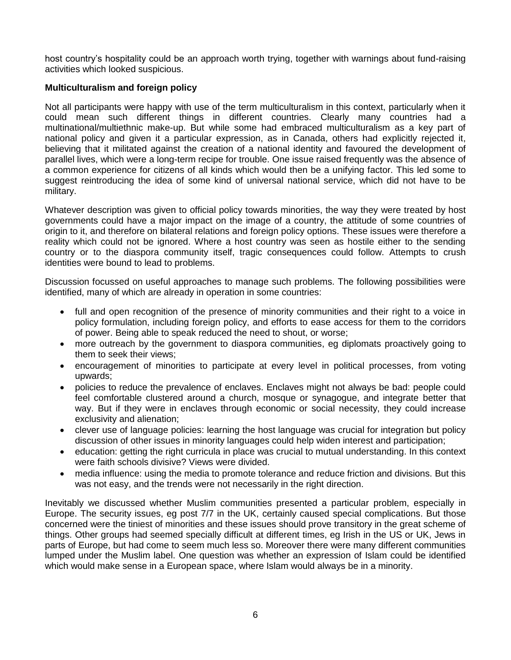host country's hospitality could be an approach worth trying, together with warnings about fund-raising activities which looked suspicious.

### **Multiculturalism and foreign policy**

Not all participants were happy with use of the term multiculturalism in this context, particularly when it could mean such different things in different countries. Clearly many countries had a multinational/multiethnic make-up. But while some had embraced multiculturalism as a key part of national policy and given it a particular expression, as in Canada, others had explicitly rejected it, believing that it militated against the creation of a national identity and favoured the development of parallel lives, which were a long-term recipe for trouble. One issue raised frequently was the absence of a common experience for citizens of all kinds which would then be a unifying factor. This led some to suggest reintroducing the idea of some kind of universal national service, which did not have to be military.

Whatever description was given to official policy towards minorities, the way they were treated by host governments could have a major impact on the image of a country, the attitude of some countries of origin to it, and therefore on bilateral relations and foreign policy options. These issues were therefore a reality which could not be ignored. Where a host country was seen as hostile either to the sending country or to the diaspora community itself, tragic consequences could follow. Attempts to crush identities were bound to lead to problems.

Discussion focussed on useful approaches to manage such problems. The following possibilities were identified, many of which are already in operation in some countries:

- full and open recognition of the presence of minority communities and their right to a voice in policy formulation, including foreign policy, and efforts to ease access for them to the corridors of power. Being able to speak reduced the need to shout, or worse;
- more outreach by the government to diaspora communities, eg diplomats proactively going to them to seek their views;
- encouragement of minorities to participate at every level in political processes, from voting upwards;
- policies to reduce the prevalence of enclaves. Enclaves might not always be bad: people could feel comfortable clustered around a church, mosque or synagogue, and integrate better that way. But if they were in enclaves through economic or social necessity, they could increase exclusivity and alienation;
- clever use of language policies: learning the host language was crucial for integration but policy discussion of other issues in minority languages could help widen interest and participation;
- education: getting the right curricula in place was crucial to mutual understanding. In this context were faith schools divisive? Views were divided.
- media influence: using the media to promote tolerance and reduce friction and divisions. But this was not easy, and the trends were not necessarily in the right direction.

Inevitably we discussed whether Muslim communities presented a particular problem, especially in Europe. The security issues, eg post 7/7 in the UK, certainly caused special complications. But those concerned were the tiniest of minorities and these issues should prove transitory in the great scheme of things. Other groups had seemed specially difficult at different times, eg Irish in the US or UK, Jews in parts of Europe, but had come to seem much less so. Moreover there were many different communities lumped under the Muslim label. One question was whether an expression of Islam could be identified which would make sense in a European space, where Islam would always be in a minority.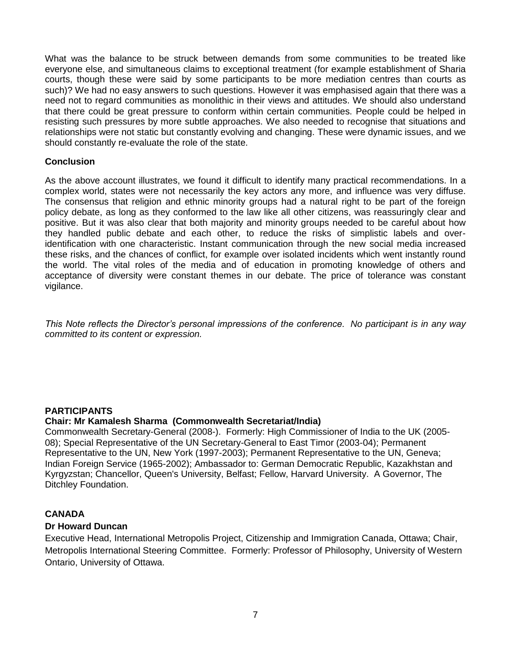What was the balance to be struck between demands from some communities to be treated like everyone else, and simultaneous claims to exceptional treatment (for example establishment of Sharia courts, though these were said by some participants to be more mediation centres than courts as such)? We had no easy answers to such questions. However it was emphasised again that there was a need not to regard communities as monolithic in their views and attitudes. We should also understand that there could be great pressure to conform within certain communities. People could be helped in resisting such pressures by more subtle approaches. We also needed to recognise that situations and relationships were not static but constantly evolving and changing. These were dynamic issues, and we should constantly re-evaluate the role of the state.

#### **Conclusion**

As the above account illustrates, we found it difficult to identify many practical recommendations. In a complex world, states were not necessarily the key actors any more, and influence was very diffuse. The consensus that religion and ethnic minority groups had a natural right to be part of the foreign policy debate, as long as they conformed to the law like all other citizens, was reassuringly clear and positive. But it was also clear that both majority and minority groups needed to be careful about how they handled public debate and each other, to reduce the risks of simplistic labels and overidentification with one characteristic. Instant communication through the new social media increased these risks, and the chances of conflict, for example over isolated incidents which went instantly round the world. The vital roles of the media and of education in promoting knowledge of others and acceptance of diversity were constant themes in our debate. The price of tolerance was constant vigilance.

*This Note reflects the Director's personal impressions of the conference. No participant is in any way committed to its content or expression.*

### **PARTICIPANTS**

#### **Chair: Mr Kamalesh Sharma (Commonwealth Secretariat/India)**

Commonwealth Secretary-General (2008-). Formerly: High Commissioner of India to the UK (2005- 08); Special Representative of the UN Secretary-General to East Timor (2003-04); Permanent Representative to the UN, New York (1997-2003); Permanent Representative to the UN, Geneva; Indian Foreign Service (1965-2002); Ambassador to: German Democratic Republic, Kazakhstan and Kyrgyzstan; Chancellor, Queen's University, Belfast; Fellow, Harvard University. A Governor, The Ditchley Foundation.

#### **CANADA**

#### **Dr Howard Duncan**

Executive Head, International Metropolis Project, Citizenship and Immigration Canada, Ottawa; Chair, Metropolis International Steering Committee. Formerly: Professor of Philosophy, University of Western Ontario, University of Ottawa.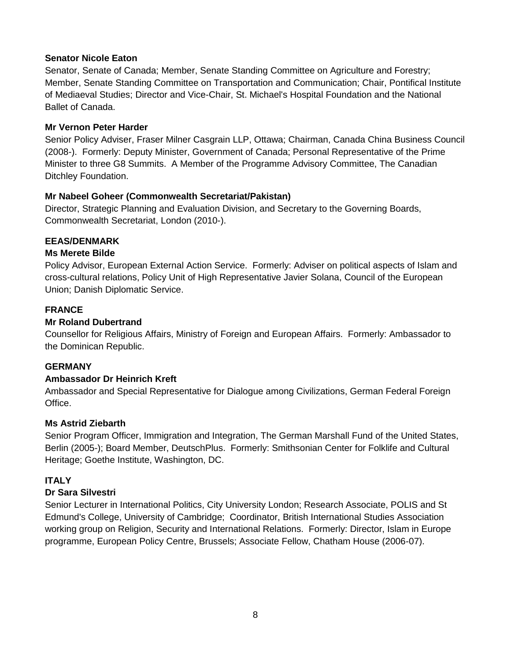## **Senator Nicole Eaton**

Senator, Senate of Canada; Member, Senate Standing Committee on Agriculture and Forestry; Member, Senate Standing Committee on Transportation and Communication; Chair, Pontifical Institute of Mediaeval Studies; Director and Vice-Chair, St. Michael's Hospital Foundation and the National Ballet of Canada.

## **Mr Vernon Peter Harder**

Senior Policy Adviser, Fraser Milner Casgrain LLP, Ottawa; Chairman, Canada China Business Council (2008-). Formerly: Deputy Minister, Government of Canada; Personal Representative of the Prime Minister to three G8 Summits. A Member of the Programme Advisory Committee, The Canadian Ditchley Foundation.

## **Mr Nabeel Goheer (Commonwealth Secretariat/Pakistan)**

Director, Strategic Planning and Evaluation Division, and Secretary to the Governing Boards, Commonwealth Secretariat, London (2010-).

# **EEAS/DENMARK**

## **Ms Merete Bilde**

Policy Advisor, European External Action Service. Formerly: Adviser on political aspects of Islam and cross-cultural relations, Policy Unit of High Representative Javier Solana, Council of the European Union; Danish Diplomatic Service.

# **FRANCE**

## **Mr Roland Dubertrand**

Counsellor for Religious Affairs, Ministry of Foreign and European Affairs. Formerly: Ambassador to the Dominican Republic.

### **GERMANY**

### **Ambassador Dr Heinrich Kreft**

Ambassador and Special Representative for Dialogue among Civilizations, German Federal Foreign Office.

### **Ms Astrid Ziebarth**

Senior Program Officer, Immigration and Integration, The German Marshall Fund of the United States, Berlin (2005-); Board Member, DeutschPlus. Formerly: Smithsonian Center for Folklife and Cultural Heritage; Goethe Institute, Washington, DC.

# **ITALY**

# **Dr Sara Silvestri**

Senior Lecturer in International Politics, City University London; Research Associate, POLIS and St Edmund's College, University of Cambridge; Coordinator, British International Studies Association working group on Religion, Security and International Relations. Formerly: Director, Islam in Europe programme, European Policy Centre, Brussels; Associate Fellow, Chatham House (2006-07).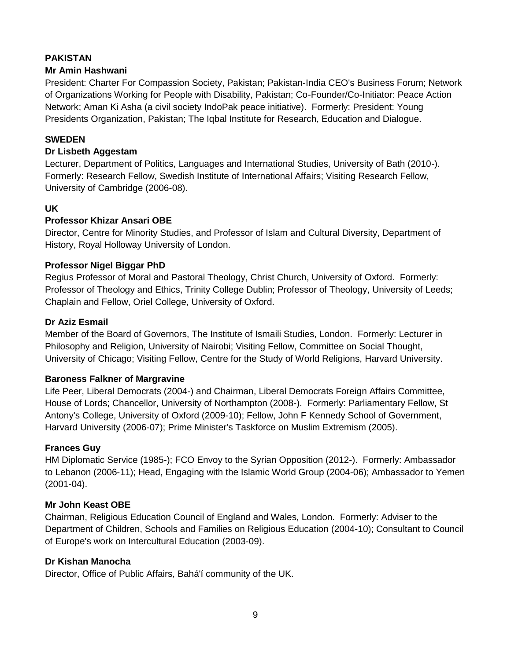# **PAKISTAN**

# **Mr Amin Hashwani**

President: Charter For Compassion Society, Pakistan; Pakistan-India CEO's Business Forum; Network of Organizations Working for People with Disability, Pakistan; Co-Founder/Co-Initiator: Peace Action Network; Aman Ki Asha (a civil society IndoPak peace initiative). Formerly: President: Young Presidents Organization, Pakistan; The Iqbal Institute for Research, Education and Dialogue.

# **SWEDEN**

### **Dr Lisbeth Aggestam**

Lecturer, Department of Politics, Languages and International Studies, University of Bath (2010-). Formerly: Research Fellow, Swedish Institute of International Affairs; Visiting Research Fellow, University of Cambridge (2006-08).

## **UK**

## **Professor Khizar Ansari OBE**

Director, Centre for Minority Studies, and Professor of Islam and Cultural Diversity, Department of History, Royal Holloway University of London.

## **Professor Nigel Biggar PhD**

Regius Professor of Moral and Pastoral Theology, Christ Church, University of Oxford. Formerly: Professor of Theology and Ethics, Trinity College Dublin; Professor of Theology, University of Leeds; Chaplain and Fellow, Oriel College, University of Oxford.

### **Dr Aziz Esmail**

Member of the Board of Governors, The Institute of Ismaili Studies, London. Formerly: Lecturer in Philosophy and Religion, University of Nairobi; Visiting Fellow, Committee on Social Thought, University of Chicago; Visiting Fellow, Centre for the Study of World Religions, Harvard University.

### **Baroness Falkner of Margravine**

Life Peer, Liberal Democrats (2004-) and Chairman, Liberal Democrats Foreign Affairs Committee, House of Lords; Chancellor, University of Northampton (2008-). Formerly: Parliamentary Fellow, St Antony's College, University of Oxford (2009-10); Fellow, John F Kennedy School of Government, Harvard University (2006-07); Prime Minister's Taskforce on Muslim Extremism (2005).

### **Frances Guy**

HM Diplomatic Service (1985-); FCO Envoy to the Syrian Opposition (2012-). Formerly: Ambassador to Lebanon (2006-11); Head, Engaging with the Islamic World Group (2004-06); Ambassador to Yemen (2001-04).

### **Mr John Keast OBE**

Chairman, Religious Education Council of England and Wales, London. Formerly: Adviser to the Department of Children, Schools and Families on Religious Education (2004-10); Consultant to Council of Europe's work on Intercultural Education (2003-09).

# **Dr Kishan Manocha**

Director, Office of Public Affairs, Bahá'í community of the UK.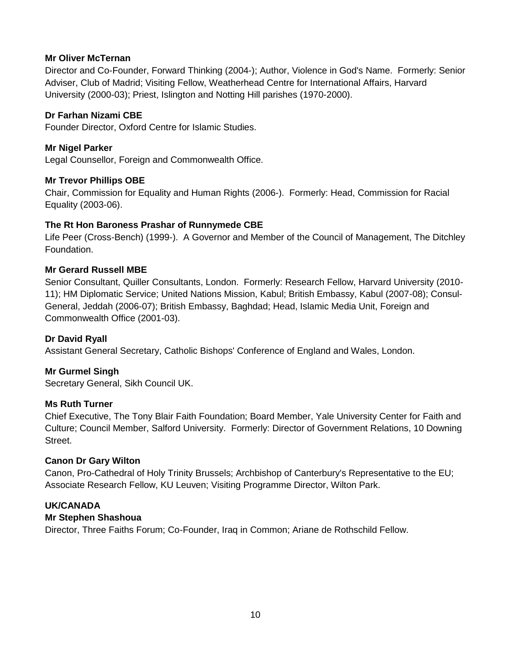## **Mr Oliver McTernan**

Director and Co-Founder, Forward Thinking (2004-); Author, Violence in God's Name. Formerly: Senior Adviser, Club of Madrid; Visiting Fellow, Weatherhead Centre for International Affairs, Harvard University (2000-03); Priest, Islington and Notting Hill parishes (1970-2000).

## **Dr Farhan Nizami CBE**

Founder Director, Oxford Centre for Islamic Studies.

## **Mr Nigel Parker**

Legal Counsellor, Foreign and Commonwealth Office.

## **Mr Trevor Phillips OBE**

Chair, Commission for Equality and Human Rights (2006-). Formerly: Head, Commission for Racial Equality (2003-06).

## **The Rt Hon Baroness Prashar of Runnymede CBE**

Life Peer (Cross-Bench) (1999-). A Governor and Member of the Council of Management, The Ditchley Foundation.

## **Mr Gerard Russell MBE**

Senior Consultant, Quiller Consultants, London. Formerly: Research Fellow, Harvard University (2010- 11); HM Diplomatic Service; United Nations Mission, Kabul; British Embassy, Kabul (2007-08); Consul-General, Jeddah (2006-07); British Embassy, Baghdad; Head, Islamic Media Unit, Foreign and Commonwealth Office (2001-03).

# **Dr David Ryall**

Assistant General Secretary, Catholic Bishops' Conference of England and Wales, London.

### **Mr Gurmel Singh**

Secretary General, Sikh Council UK.

### **Ms Ruth Turner**

Chief Executive, The Tony Blair Faith Foundation; Board Member, Yale University Center for Faith and Culture; Council Member, Salford University. Formerly: Director of Government Relations, 10 Downing Street.

### **Canon Dr Gary Wilton**

Canon, Pro-Cathedral of Holy Trinity Brussels; Archbishop of Canterbury's Representative to the EU; Associate Research Fellow, KU Leuven; Visiting Programme Director, Wilton Park.

# **UK/CANADA**

# **Mr Stephen Shashoua**

Director, Three Faiths Forum; Co-Founder, Iraq in Common; Ariane de Rothschild Fellow.